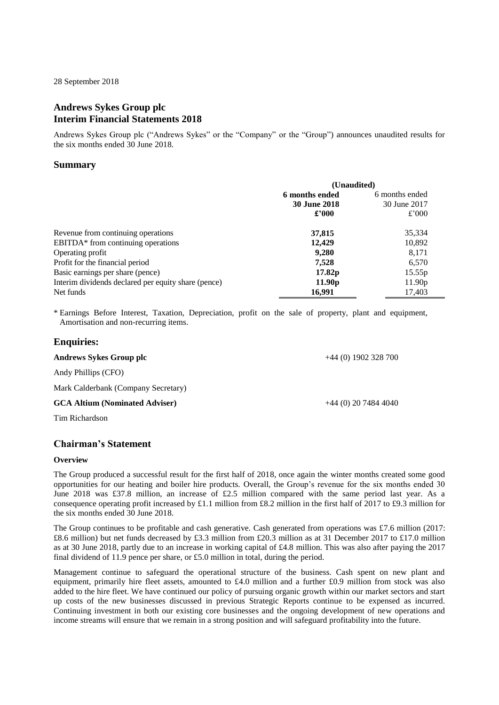28 September 2018

# **Andrews Sykes Group plc Interim Financial Statements 2018**

Andrews Sykes Group plc ("Andrews Sykes" or the "Company" or the "Group") announces unaudited results for the six months ended 30 June 2018.

# **Summary**

|                                                     | (Unaudited)         |                    |  |
|-----------------------------------------------------|---------------------|--------------------|--|
|                                                     | 6 months ended      | 6 months ended     |  |
|                                                     | <b>30 June 2018</b> | 30 June 2017       |  |
|                                                     | $\pounds$ '000      | £'000              |  |
| Revenue from continuing operations                  | 37,815              | 35,334             |  |
| EBITDA* from continuing operations                  | 12.429              | 10,892             |  |
| Operating profit                                    | 9,280               | 8,171              |  |
| Profit for the financial period                     | 7,528               | 6,570              |  |
| Basic earnings per share (pence)                    | 17.82p              | 15.55 <sub>p</sub> |  |
| Interim dividends declared per equity share (pence) | 11.90 <sub>p</sub>  | 11.90 <sub>p</sub> |  |
| Net funds                                           | 16,991              | 17,403             |  |

\* Earnings Before Interest, Taxation, Depreciation, profit on the sale of property, plant and equipment, Amortisation and non-recurring items.

# **Enquiries:**

| Andrews Sykes Group plc               | $+44(0)$ 1902 328 700 |
|---------------------------------------|-----------------------|
| Andy Phillips (CFO)                   |                       |
| Mark Calderbank (Company Secretary)   |                       |
| <b>GCA Altium (Nominated Adviser)</b> | $+44(0)$ 20 7484 4040 |
| Tim Richardson                        |                       |

# **Chairman's Statement**

# **Overview**

The Group produced a successful result for the first half of 2018, once again the winter months created some good opportunities for our heating and boiler hire products. Overall, the Group's revenue for the six months ended 30 June 2018 was £37.8 million, an increase of £2.5 million compared with the same period last year. As a consequence operating profit increased by £1.1 million from £8.2 million in the first half of 2017 to £9.3 million for the six months ended 30 June 2018.

The Group continues to be profitable and cash generative. Cash generated from operations was £7.6 million (2017: £8.6 million) but net funds decreased by £3.3 million from £20.3 million as at 31 December 2017 to £17.0 million as at 30 June 2018, partly due to an increase in working capital of £4.8 million. This was also after paying the 2017 final dividend of 11.9 pence per share, or £5.0 million in total, during the period.

Management continue to safeguard the operational structure of the business. Cash spent on new plant and equipment, primarily hire fleet assets, amounted to £4.0 million and a further £0.9 million from stock was also added to the hire fleet. We have continued our policy of pursuing organic growth within our market sectors and start up costs of the new businesses discussed in previous Strategic Reports continue to be expensed as incurred. Continuing investment in both our existing core businesses and the ongoing development of new operations and income streams will ensure that we remain in a strong position and will safeguard profitability into the future.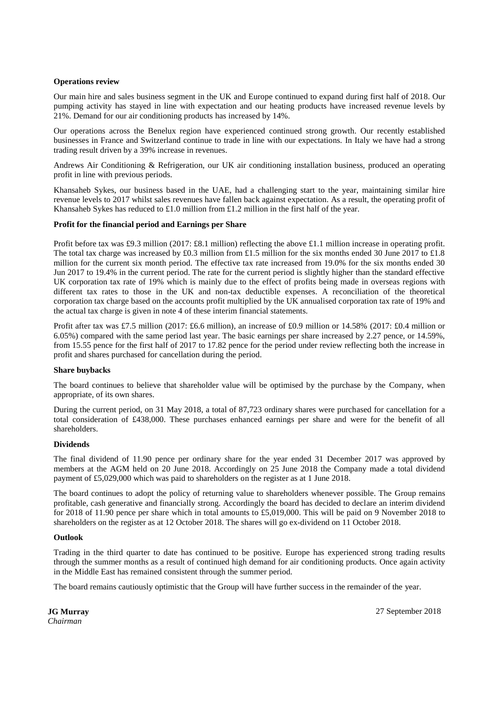### **Operations review**

Our main hire and sales business segment in the UK and Europe continued to expand during first half of 2018. Our pumping activity has stayed in line with expectation and our heating products have increased revenue levels by 21%. Demand for our air conditioning products has increased by 14%.

Our operations across the Benelux region have experienced continued strong growth. Our recently established businesses in France and Switzerland continue to trade in line with our expectations. In Italy we have had a strong trading result driven by a 39% increase in revenues.

Andrews Air Conditioning & Refrigeration, our UK air conditioning installation business, produced an operating profit in line with previous periods.

Khansaheb Sykes, our business based in the UAE, had a challenging start to the year, maintaining similar hire revenue levels to 2017 whilst sales revenues have fallen back against expectation. As a result, the operating profit of Khansaheb Sykes has reduced to £1.0 million from £1.2 million in the first half of the year.

### **Profit for the financial period and Earnings per Share**

Profit before tax was £9.3 million (2017: £8.1 million) reflecting the above £1.1 million increase in operating profit. The total tax charge was increased by £0.3 million from £1.5 million for the six months ended 30 June 2017 to £1.8 million for the current six month period. The effective tax rate increased from 19.0% for the six months ended 30 Jun 2017 to 19.4% in the current period. The rate for the current period is slightly higher than the standard effective UK corporation tax rate of 19% which is mainly due to the effect of profits being made in overseas regions with different tax rates to those in the UK and non-tax deductible expenses. A reconciliation of the theoretical corporation tax charge based on the accounts profit multiplied by the UK annualised corporation tax rate of 19% and the actual tax charge is given in note 4 of these interim financial statements.

Profit after tax was £7.5 million (2017: £6.6 million), an increase of £0.9 million or 14.58% (2017: £0.4 million or 6.05%) compared with the same period last year. The basic earnings per share increased by 2.27 pence, or 14.59%, from 15.55 pence for the first half of 2017 to 17.82 pence for the period under review reflecting both the increase in profit and shares purchased for cancellation during the period.

#### **Share buybacks**

The board continues to believe that shareholder value will be optimised by the purchase by the Company, when appropriate, of its own shares.

During the current period, on 31 May 2018, a total of 87,723 ordinary shares were purchased for cancellation for a total consideration of £438,000. These purchases enhanced earnings per share and were for the benefit of all shareholders.

#### **Dividends**

The final dividend of 11.90 pence per ordinary share for the year ended 31 December 2017 was approved by members at the AGM held on 20 June 2018. Accordingly on 25 June 2018 the Company made a total dividend payment of £5,029,000 which was paid to shareholders on the register as at 1 June 2018.

The board continues to adopt the policy of returning value to shareholders whenever possible. The Group remains profitable, cash generative and financially strong. Accordingly the board has decided to declare an interim dividend for 2018 of 11.90 pence per share which in total amounts to £5,019,000. This will be paid on 9 November 2018 to shareholders on the register as at 12 October 2018. The shares will go ex-dividend on 11 October 2018.

#### **Outlook**

Trading in the third quarter to date has continued to be positive. Europe has experienced strong trading results through the summer months as a result of continued high demand for air conditioning products. Once again activity in the Middle East has remained consistent through the summer period.

The board remains cautiously optimistic that the Group will have further success in the remainder of the year.

**JG Murray** *Chairman*

27 September 2018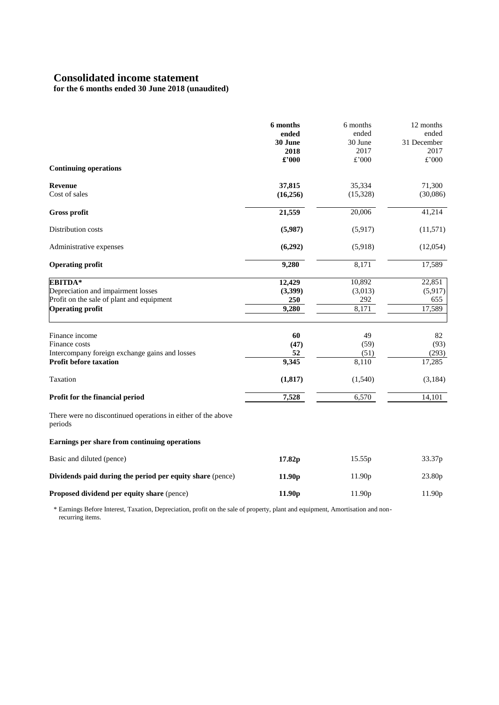# **Consolidated income statement**

**for the 6 months ended 30 June 2018 (unaudited)**

|                                                                         | 6 months<br>ended<br>30 June | 6 months<br>ended<br>30 June | 12 months<br>ended<br>31 December |
|-------------------------------------------------------------------------|------------------------------|------------------------------|-----------------------------------|
|                                                                         | 2018                         | 2017                         | 2017                              |
| <b>Continuing operations</b>                                            | £'000                        | £'000                        | £'000                             |
| <b>Revenue</b>                                                          | 37,815                       | 35,334                       | 71,300                            |
| Cost of sales                                                           | (16, 256)                    | (15, 328)                    | (30,086)                          |
| Gross profit                                                            | 21,559                       | 20,006                       | 41,214                            |
| Distribution costs                                                      | (5,987)                      | (5,917)                      | (11, 571)                         |
| Administrative expenses                                                 | (6,292)                      | (5,918)                      | (12,054)                          |
| <b>Operating profit</b>                                                 | 9,280                        | 8,171                        | 17,589                            |
| <b>EBITDA*</b>                                                          | 12,429                       | 10,892                       | 22,851                            |
| Depreciation and impairment losses                                      | (3,399)                      | (3,013)                      | (5,917)                           |
| Profit on the sale of plant and equipment                               | 250                          | 292                          | 655                               |
| <b>Operating profit</b>                                                 | 9,280                        | 8,171                        | 17,589                            |
| Finance income                                                          | 60                           | 49                           | 82                                |
| Finance costs                                                           | (47)                         | (59)                         | (93)                              |
| Intercompany foreign exchange gains and losses                          | 52                           | (51)                         | (293)                             |
| <b>Profit before taxation</b>                                           | 9,345                        | 8,110                        | 17,285                            |
| Taxation                                                                | (1, 817)                     | (1,540)                      | (3,184)                           |
| Profit for the financial period                                         | 7,528                        | 6,570                        | 14,101                            |
| There were no discontinued operations in either of the above<br>periods |                              |                              |                                   |
| Earnings per share from continuing operations                           |                              |                              |                                   |
| Basic and diluted (pence)                                               | 17.82p                       | 15.55p                       | 33.37p                            |
| Dividends paid during the period per equity share (pence)               | 11.90 <sub>p</sub>           | 11.90 <sub>p</sub>           | 23.80p                            |
| Proposed dividend per equity share (pence)                              | 11.90 <sub>p</sub>           | 11.90p                       | 11.90p                            |

\* Earnings Before Interest, Taxation, Depreciation, profit on the sale of property, plant and equipment, Amortisation and non recurring items.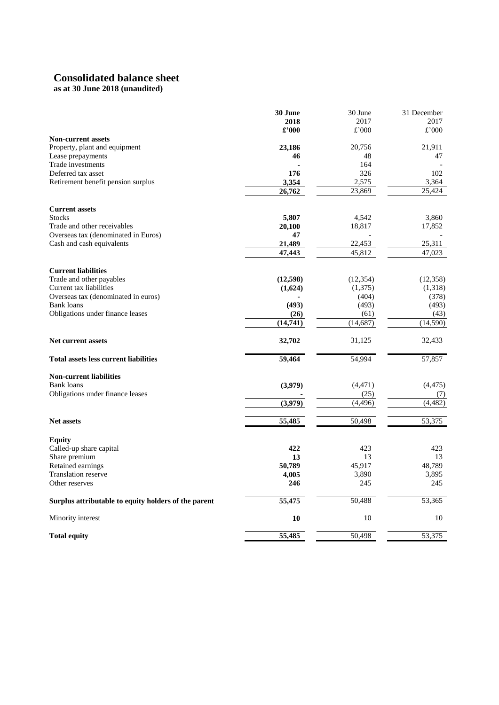# **Consolidated balance sheet**

# **as at 30 June 2018 (unaudited)**

|                                                      | 30 June  | 30 June          | 31 December     |
|------------------------------------------------------|----------|------------------|-----------------|
|                                                      | 2018     | 2017             | 2017            |
|                                                      | £'000    | £'000            | £'000           |
| <b>Non-current assets</b>                            |          |                  |                 |
| Property, plant and equipment                        | 23,186   | 20,756           | 21,911          |
| Lease prepayments                                    | 46       | 48               | 47              |
| Trade investments                                    |          | 164              |                 |
| Deferred tax asset                                   | 176      | 326              | 102             |
| Retirement benefit pension surplus                   | 3,354    | 2,575            | 3,364           |
|                                                      | 26,762   | 23,869           | 25,424          |
| <b>Current assets</b>                                |          |                  |                 |
| <b>Stocks</b>                                        | 5,807    | 4,542            | 3,860           |
| Trade and other receivables                          | 20,100   | 18,817           | 17,852          |
| Overseas tax (denominated in Euros)                  | 47       |                  |                 |
| Cash and cash equivalents                            | 21,489   | 22,453           | 25,311          |
|                                                      | 47,443   | 45,812           | 47,023          |
| <b>Current liabilities</b>                           |          |                  |                 |
| Trade and other payables                             | (12,598) | (12, 354)        | (12,358)        |
| Current tax liabilities                              | (1,624)  | (1,375)          | (1,318)         |
| Overseas tax (denominated in euros)                  |          | (404)            | (378)           |
| <b>Bank</b> loans                                    | (493)    | (493)            | (493)           |
| Obligations under finance leases                     | (26)     | (61)             | (43)            |
|                                                      | (14,741) | (14,687)         | (14,590)        |
| <b>Net current assets</b>                            | 32,702   | 31,125           | 32,433          |
| <b>Total assets less current liabilities</b>         | 59,464   | 54,994           | 57,857          |
| <b>Non-current liabilities</b>                       |          |                  |                 |
| <b>Bank</b> loans                                    | (3,979)  |                  |                 |
| Obligations under finance leases                     |          | (4, 471)<br>(25) | (4, 475)<br>(7) |
|                                                      | (3,979)  | (4, 496)         | (4, 482)        |
|                                                      |          |                  |                 |
| <b>Net assets</b>                                    | 55,485   | 50,498           | 53,375          |
| <b>Equity</b>                                        |          |                  |                 |
| Called-up share capital                              | 422      | 423              | 423             |
| Share premium                                        | 13       | 13               | 13              |
| Retained earnings                                    | 50,789   | 45,917           | 48,789          |
| <b>Translation reserve</b>                           | 4,005    | 3,890            | 3,895           |
| Other reserves                                       | 246      | 245              | 245             |
| Surplus attributable to equity holders of the parent | 55,475   | 50,488           | 53,365          |
| Minority interest                                    | 10       | 10               | 10              |
| <b>Total equity</b>                                  | 55,485   | 50,498           | 53,375          |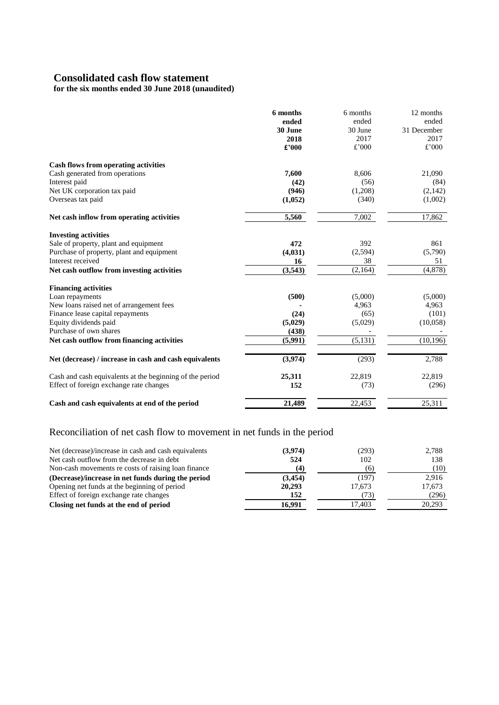# **Consolidated cash flow statement**

**for the six months ended 30 June 2018 (unaudited)**

|                                                          | 6 months | 6 months | 12 months   |
|----------------------------------------------------------|----------|----------|-------------|
|                                                          | ended    | ended    | ended       |
|                                                          | 30 June  | 30 June  | 31 December |
|                                                          | 2018     | 2017     | 2017        |
|                                                          | £'000    | £'000    | £'000       |
| <b>Cash flows from operating activities</b>              |          |          |             |
| Cash generated from operations                           | 7,600    | 8,606    | 21,090      |
| Interest paid                                            | (42)     | (56)     | (84)        |
| Net UK corporation tax paid                              | (946)    | (1,208)  | (2,142)     |
| Overseas tax paid                                        | (1,052)  | (340)    | (1,002)     |
| Net cash inflow from operating activities                | 5,560    | 7,002    | 17,862      |
| <b>Investing activities</b>                              |          |          |             |
| Sale of property, plant and equipment                    | 472      | 392      | 861         |
| Purchase of property, plant and equipment                | (4,031)  | (2,594)  | (5,790)     |
| Interest received                                        | 16       | 38       | 51          |
| Net cash outflow from investing activities               | (3,543)  | (2,164)  | (4,878)     |
| <b>Financing activities</b>                              |          |          |             |
| Loan repayments                                          | (500)    | (5,000)  | (5,000)     |
| New loans raised net of arrangement fees                 |          | 4,963    | 4,963       |
| Finance lease capital repayments                         | (24)     | (65)     | (101)       |
| Equity dividends paid                                    | (5,029)  | (5,029)  | (10,058)    |
| Purchase of own shares                                   | (438)    |          |             |
| Net cash outflow from financing activities               | (5,991)  | (5, 131) | (10, 196)   |
| Net (decrease) / increase in cash and cash equivalents   | (3,974)  | (293)    | 2,788       |
| Cash and cash equivalents at the beginning of the period | 25,311   | 22,819   | 22,819      |
| Effect of foreign exchange rate changes                  | 152      | (73)     | (296)       |
| Cash and cash equivalents at end of the period           | 21,489   | 22,453   | 25,311      |

# Reconciliation of net cash flow to movement in net funds in the period

| (3,974) | (293)  | 2,788  |
|---------|--------|--------|
| 524     | 102    | 138    |
| (4)     | (6)    | (10)   |
| (3,454) | (197)  | 2.916  |
| 20,293  | 17.673 | 17,673 |
| 152     | (73)   | (296)  |
| 16,991  | 17.403 | 20.293 |
|         |        |        |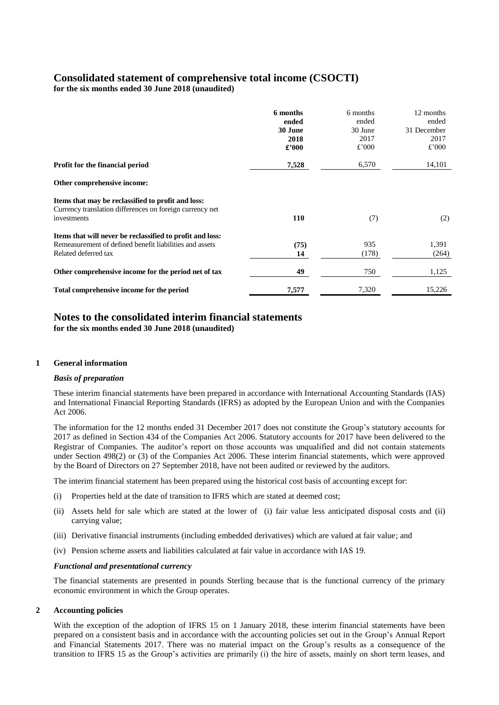# **Consolidated statement of comprehensive total income (CSOCTI)**

**for the six months ended 30 June 2018 (unaudited)**

|                                                                                                                                              | 6 months<br>ended<br>30 June<br>2018<br>£'000 | 6 months<br>ended<br>30 June<br>2017<br>£'000 | 12 months<br>ended<br>31 December<br>2017<br>£'000 |
|----------------------------------------------------------------------------------------------------------------------------------------------|-----------------------------------------------|-----------------------------------------------|----------------------------------------------------|
| <b>Profit for the financial period</b>                                                                                                       | 7,528                                         | 6,570                                         | 14,101                                             |
| Other comprehensive income:                                                                                                                  |                                               |                                               |                                                    |
| Items that may be reclassified to profit and loss:<br>Currency translation differences on foreign currency net<br>investments                | <b>110</b>                                    | (7)                                           | (2)                                                |
| Items that will never be reclassified to profit and loss:<br>Remeasurement of defined benefit liabilities and assets<br>Related deferred tax | (75)<br>14                                    | 935<br>(178)                                  | 1,391<br>(264)                                     |
| Other comprehensive income for the period net of tax                                                                                         | 49                                            | 750                                           | 1,125                                              |
| Total comprehensive income for the period                                                                                                    | 7,577                                         | 7,320                                         | 15,226                                             |

# **Notes to the consolidated interim financial statements**

**for the six months ended 30 June 2018 (unaudited)**

# **1 General information**

# *Basis of preparation*

These interim financial statements have been prepared in accordance with International Accounting Standards (IAS) and International Financial Reporting Standards (IFRS) as adopted by the European Union and with the Companies Act 2006.

The information for the 12 months ended 31 December 2017 does not constitute the Group's statutory accounts for 2017 as defined in Section 434 of the Companies Act 2006. Statutory accounts for 2017 have been delivered to the Registrar of Companies. The auditor's report on those accounts was unqualified and did not contain statements under Section 498(2) or (3) of the Companies Act 2006. These interim financial statements, which were approved by the Board of Directors on 27 September 2018, have not been audited or reviewed by the auditors.

The interim financial statement has been prepared using the historical cost basis of accounting except for:

- (i) Properties held at the date of transition to IFRS which are stated at deemed cost;
- (ii) Assets held for sale which are stated at the lower of (i) fair value less anticipated disposal costs and (ii) carrying value;
- (iii) Derivative financial instruments (including embedded derivatives) which are valued at fair value; and
- (iv) Pension scheme assets and liabilities calculated at fair value in accordance with IAS 19.

# *Functional and presentational currency*

The financial statements are presented in pounds Sterling because that is the functional currency of the primary economic environment in which the Group operates.

#### **2 Accounting policies**

With the exception of the adoption of IFRS 15 on 1 January 2018, these interim financial statements have been prepared on a consistent basis and in accordance with the accounting policies set out in the Group's Annual Report and Financial Statements 2017. There was no material impact on the Group's results as a consequence of the transition to IFRS 15 as the Group's activities are primarily (i) the hire of assets, mainly on short term leases, and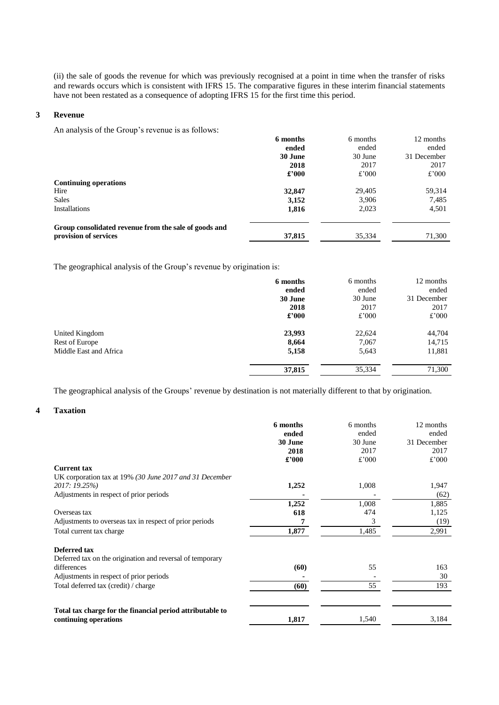(ii) the sale of goods the revenue for which was previously recognised at a point in time when the transfer of risks and rewards occurs which is consistent with IFRS 15. The comparative figures in these interim financial statements have not been restated as a consequence of adopting IFRS 15 for the first time this period.

#### **3 Revenue**

An analysis of the Group's revenue is as follows:

|                                                       | 6 months | 6 months | 12 months   |
|-------------------------------------------------------|----------|----------|-------------|
|                                                       | ended    | ended    | ended       |
|                                                       | 30 June  | 30 June  | 31 December |
|                                                       | 2018     | 2017     | 2017        |
|                                                       | £'000    | £'000    | £'000       |
| <b>Continuing operations</b>                          |          |          |             |
| Hire                                                  | 32,847   | 29,405   | 59,314      |
| <b>Sales</b>                                          | 3,152    | 3,906    | 7,485       |
| <b>Installations</b>                                  | 1,816    | 2,023    | 4,501       |
| Group consolidated revenue from the sale of goods and |          |          |             |
| provision of services                                 | 37,815   | 35,334   | 71,300      |

The geographical analysis of the Group's revenue by origination is:

|                        | 6 months       | 6 months | 12 months   |
|------------------------|----------------|----------|-------------|
|                        | ended          | ended    | ended       |
|                        | 30 June        | 30 June  | 31 December |
|                        | 2018           | 2017     | 2017        |
|                        | $\pounds$ '000 | £'000    | £'000       |
| United Kingdom         | 23,993         | 22,624   | 44,704      |
| Rest of Europe         | 8,664          | 7,067    | 14,715      |
| Middle East and Africa | 5,158          | 5,643    | 11,881      |
|                        | 37,815         | 35,334   | 71,300      |

The geographical analysis of the Groups' revenue by destination is not materially different to that by origination.

# **4 Taxation**

|                                                           | 6 months | 6 months | 12 months   |
|-----------------------------------------------------------|----------|----------|-------------|
|                                                           | ended    | ended    | ended       |
|                                                           | 30 June  | 30 June  | 31 December |
|                                                           | 2018     | 2017     | 2017        |
|                                                           | £'000    | £'000    | £'000       |
| <b>Current tax</b>                                        |          |          |             |
| UK corporation tax at 19% (30 June 2017 and 31 December   |          |          |             |
| 2017: 19.25%)                                             | 1,252    | 1,008    | 1,947       |
| Adjustments in respect of prior periods                   |          |          | (62)        |
|                                                           | 1,252    | 1,008    | 1,885       |
| Overseas tax                                              | 618      | 474      | 1,125       |
| Adjustments to overseas tax in respect of prior periods   |          | 3        | (19)        |
| Total current tax charge                                  | 1,877    | 1,485    | 2,991       |
| Deferred tax                                              |          |          |             |
| Deferred tax on the origination and reversal of temporary |          |          |             |
| differences                                               | (60)     | 55       | 163         |
| Adjustments in respect of prior periods                   |          |          | 30          |
| Total deferred tax (credit) / charge                      | (60)     | 55       | 193         |
|                                                           |          |          |             |
| Total tax charge for the financial period attributable to |          |          |             |
| continuing operations                                     | 1,817    | 1,540    | 3,184       |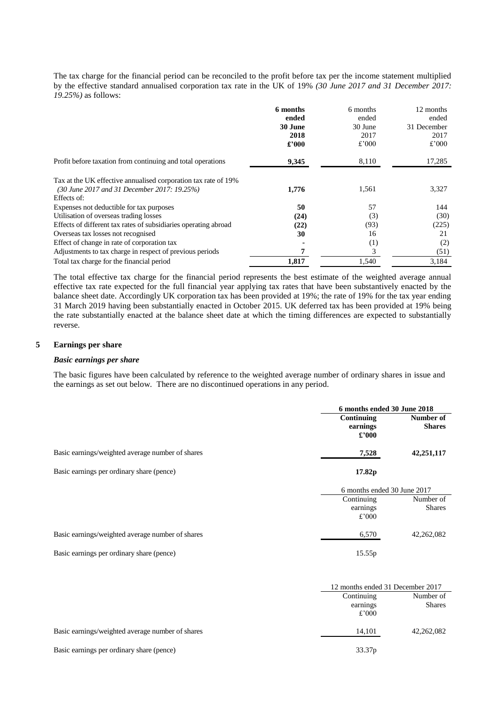The tax charge for the financial period can be reconciled to the profit before tax per the income statement multiplied by the effective standard annualised corporation tax rate in the UK of 19% *(30 June 2017 and 31 December 2017: 19.25%)* as follows:

|                                                                 | 6 months | 6 months | 12 months   |
|-----------------------------------------------------------------|----------|----------|-------------|
|                                                                 | ended    | ended    | ended       |
|                                                                 | 30 June  | 30 June  | 31 December |
|                                                                 | 2018     | 2017     | 2017        |
|                                                                 | £'000    | $£$ '000 | £'000       |
| Profit before taxation from continuing and total operations     | 9,345    | 8,110    | 17,285      |
| Tax at the UK effective annualised corporation tax rate of 19%  |          |          |             |
| (30 June 2017 and 31 December 2017: 19.25%)                     | 1,776    | 1,561    | 3,327       |
| Effects of:                                                     |          |          |             |
| Expenses not deductible for tax purposes                        | 50       | 57       | 144         |
| Utilisation of overseas trading losses                          | (24)     | (3)      | (30)        |
| Effects of different tax rates of subsidiaries operating abroad | (22)     | (93)     | (225)       |
| Overseas tax losses not recognised                              | 30       | 16       | 21          |
| Effect of change in rate of corporation tax                     |          | (1)      | (2)         |
| Adjustments to tax charge in respect of previous periods        |          | 3        | (51)        |
| Total tax charge for the financial period                       | 1,817    | 1,540    | 3,184       |

The total effective tax charge for the financial period represents the best estimate of the weighted average annual effective tax rate expected for the full financial year applying tax rates that have been substantively enacted by the balance sheet date. Accordingly UK corporation tax has been provided at 19%; the rate of 19% for the tax year ending 31 March 2019 having been substantially enacted in October 2015. UK deferred tax has been provided at 19% being the rate substantially enacted at the balance sheet date at which the timing differences are expected to substantially reverse.

### **5 Earnings per share**

## *Basic earnings per share*

The basic figures have been calculated by reference to the weighted average number of ordinary shares in issue and the earnings as set out below. There are no discontinued operations in any period.

|                                                  | 6 months ended 30 June 2018 |                             |  |
|--------------------------------------------------|-----------------------------|-----------------------------|--|
|                                                  | Continuing<br>Number of     |                             |  |
|                                                  | earnings                    | <b>Shares</b>               |  |
|                                                  | $\pounds$ '000              |                             |  |
| Basic earnings/weighted average number of shares | 7,528                       | 42,251,117                  |  |
| Basic earnings per ordinary share (pence)        | 17.82p                      |                             |  |
|                                                  |                             | 6 months ended 30 June 2017 |  |
|                                                  | Continuing                  | Number of                   |  |
|                                                  | earnings                    | <b>Shares</b>               |  |
|                                                  | $£$ '000                    |                             |  |
|                                                  |                             |                             |  |
| Basic earnings/weighted average number of shares | 6,570                       | 42,262,082                  |  |

|                                                  | 12 months ended 31 December 2017 |                            |
|--------------------------------------------------|----------------------------------|----------------------------|
|                                                  | Continuing<br>earnings<br>£'000  | Number of<br><b>Shares</b> |
| Basic earnings/weighted average number of shares | 14,101                           | 42,262,082                 |
| Basic earnings per ordinary share (pence)        | 33.37 <sub>p</sub>               |                            |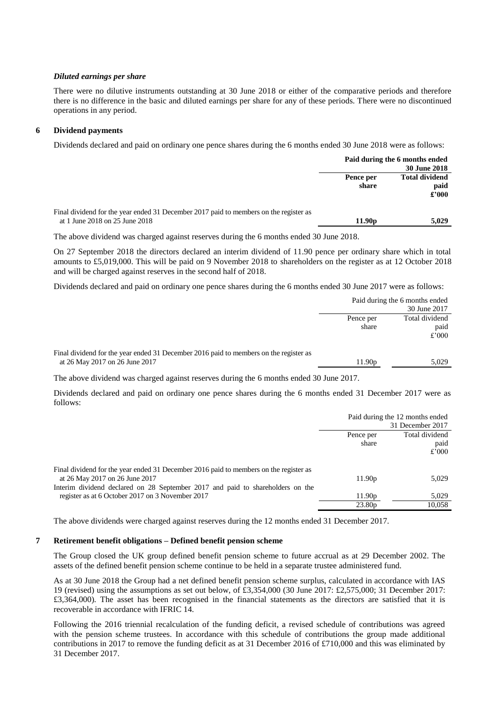#### *Diluted earnings per share*

There were no dilutive instruments outstanding at 30 June 2018 or either of the comparative periods and therefore there is no difference in the basic and diluted earnings per share for any of these periods. There were no discontinued operations in any period.

#### **6 Dividend payments**

Dividends declared and paid on ordinary one pence shares during the 6 months ended 30 June 2018 were as follows:

|                                                                                                                         | Paid during the 6 months ended<br><b>30 June 2018</b> |                                        |
|-------------------------------------------------------------------------------------------------------------------------|-------------------------------------------------------|----------------------------------------|
|                                                                                                                         | Pence per<br>share                                    | <b>Total dividend</b><br>paid<br>£'000 |
| Final dividend for the year ended 31 December 2017 paid to members on the register as<br>at 1 June 2018 on 25 June 2018 | 11.90 <sub>p</sub>                                    | 5.029                                  |

The above dividend was charged against reserves during the 6 months ended 30 June 2018.

On 27 September 2018 the directors declared an interim dividend of 11.90 pence per ordinary share which in total amounts to £5,019,000. This will be paid on 9 November 2018 to shareholders on the register as at 12 October 2018 and will be charged against reserves in the second half of 2018.

Dividends declared and paid on ordinary one pence shares during the 6 months ended 30 June 2017 were as follows:

|                                                                                       | Paid during the 6 months ended |                |
|---------------------------------------------------------------------------------------|--------------------------------|----------------|
|                                                                                       | 30 June 2017                   |                |
|                                                                                       | Pence per                      | Total dividend |
|                                                                                       | share                          | paid           |
|                                                                                       |                                | £'000          |
|                                                                                       |                                |                |
| Final dividend for the year ended 31 December 2016 paid to members on the register as |                                |                |
| at 26 May 2017 on 26 June 2017                                                        | 11.90 <sub>p</sub>             | 5,029          |
|                                                                                       |                                |                |

The above dividend was charged against reserves during the 6 months ended 30 June 2017.

Dividends declared and paid on ordinary one pence shares during the 6 months ended 31 December 2017 were as follows:

|                                                                                       | Paid during the 12 months ended |                  |
|---------------------------------------------------------------------------------------|---------------------------------|------------------|
|                                                                                       |                                 | 31 December 2017 |
|                                                                                       | Pence per                       | Total dividend   |
|                                                                                       | share                           | paid             |
|                                                                                       |                                 | £'000            |
| Final dividend for the year ended 31 December 2016 paid to members on the register as |                                 |                  |
| at 26 May 2017 on 26 June 2017                                                        | 11.90 <sub>p</sub>              | 5,029            |
| Interim dividend declared on 28 September 2017 and paid to shareholders on the        |                                 |                  |
| register as at 6 October 2017 on 3 November 2017                                      | 11.90 <sub>p</sub>              | 5,029            |
|                                                                                       | 23.80 <sub>p</sub>              | 10,058           |

The above dividends were charged against reserves during the 12 months ended 31 December 2017.

#### **7 Retirement benefit obligations – Defined benefit pension scheme**

The Group closed the UK group defined benefit pension scheme to future accrual as at 29 December 2002. The assets of the defined benefit pension scheme continue to be held in a separate trustee administered fund.

As at 30 June 2018 the Group had a net defined benefit pension scheme surplus, calculated in accordance with IAS 19 (revised) using the assumptions as set out below, of £3,354,000 (30 June 2017: £2,575,000; 31 December 2017: £3,364,000)*.* The asset has been recognised in the financial statements as the directors are satisfied that it is recoverable in accordance with IFRIC 14.

Following the 2016 triennial recalculation of the funding deficit, a revised schedule of contributions was agreed with the pension scheme trustees. In accordance with this schedule of contributions the group made additional contributions in 2017 to remove the funding deficit as at 31 December 2016 of £710,000 and this was eliminated by 31 December 2017.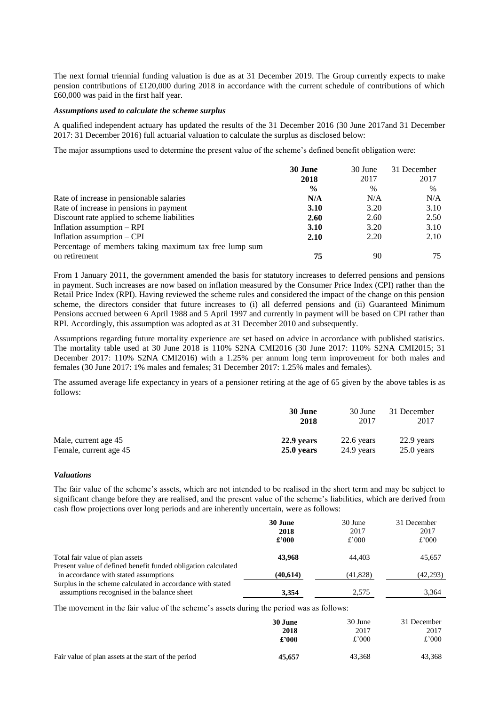The next formal triennial funding valuation is due as at 31 December 2019. The Group currently expects to make pension contributions of £120,000 during 2018 in accordance with the current schedule of contributions of which £60,000 was paid in the first half year.

#### *Assumptions used to calculate the scheme surplus*

A qualified independent actuary has updated the results of the 31 December 2016 (30 June 2017and 31 December 2017: 31 December 2016) full actuarial valuation to calculate the surplus as disclosed below:

The major assumptions used to determine the present value of the scheme's defined benefit obligation were:

|                                                        | 30 June<br>2018 | 30 June<br>2017 | 31 December<br>2017 |
|--------------------------------------------------------|-----------------|-----------------|---------------------|
|                                                        | $\frac{6}{9}$   | $\frac{0}{0}$   | $\frac{0}{0}$       |
| Rate of increase in pensionable salaries               | N/A             | N/A             | N/A                 |
| Rate of increase in pensions in payment                | 3.10            | 3.20            | 3.10                |
| Discount rate applied to scheme liabilities            | 2.60            | 2.60            | 2.50                |
| Inflation assumption – RPI                             | 3.10            | 3.20            | 3.10                |
| Inflation assumption – CPI                             | 2.10            | 2.20            | 2.10                |
| Percentage of members taking maximum tax free lump sum |                 |                 |                     |
| on retirement                                          | 75              | 90              | 75                  |

From 1 January 2011, the government amended the basis for statutory increases to deferred pensions and pensions in payment. Such increases are now based on inflation measured by the Consumer Price Index (CPI) rather than the Retail Price Index (RPI). Having reviewed the scheme rules and considered the impact of the change on this pension scheme, the directors consider that future increases to (i) all deferred pensions and (ii) Guaranteed Minimum Pensions accrued between 6 April 1988 and 5 April 1997 and currently in payment will be based on CPI rather than RPI. Accordingly, this assumption was adopted as at 31 December 2010 and subsequently.

Assumptions regarding future mortality experience are set based on advice in accordance with published statistics. The mortality table used at 30 June 2018 is 110% S2NA CMI2016 (30 June 2017: 110% S2NA CMI2015; 31 December 2017: 110% S2NA CMI2016) with a 1.25% per annum long term improvement for both males and females (30 June 2017: 1% males and females; 31 December 2017: 1.25% males and females).

The assumed average life expectancy in years of a pensioner retiring at the age of 65 given by the above tables is as follows:

|                        | 30 June    | 30 June    | 31 December  |
|------------------------|------------|------------|--------------|
|                        | 2018       | 2017       | 2017         |
| Male, current age 45   | 22.9 years | 22.6 years | $22.9$ years |
| Female, current age 45 | 25.0 years | 24.9 years | $25.0$ years |

# *Valuations*

The fair value of the scheme's assets, which are not intended to be realised in the short term and may be subject to significant change before they are realised, and the present value of the scheme's liabilities, which are derived from cash flow projections over long periods and are inherently uncertain, were as follows:

|                                                                                                           | 30 June<br>2018<br>£'000 | 30 June<br>2017<br>£'000 | 31 December<br>2017<br>£'000 |
|-----------------------------------------------------------------------------------------------------------|--------------------------|--------------------------|------------------------------|
| Total fair value of plan assets                                                                           | 43,968                   | 44.403                   | 45,657                       |
| Present value of defined benefit funded obligation calculated<br>in accordance with stated assumptions    | (40,614)                 | (41,828)                 | (42,293)                     |
| Surplus in the scheme calculated in accordance with stated<br>assumptions recognised in the balance sheet | 3.354                    | 2.575                    | 3.364                        |

The movement in the fair value of the scheme's assets during the period was as follows:

|                                                      | 30 June | 30 June | 31 December |
|------------------------------------------------------|---------|---------|-------------|
|                                                      | 2018    | 2017    | 2017        |
|                                                      | £2000   | £'000   | £'000       |
| Fair value of plan assets at the start of the period | 45.657  | 43.368  | 43,368      |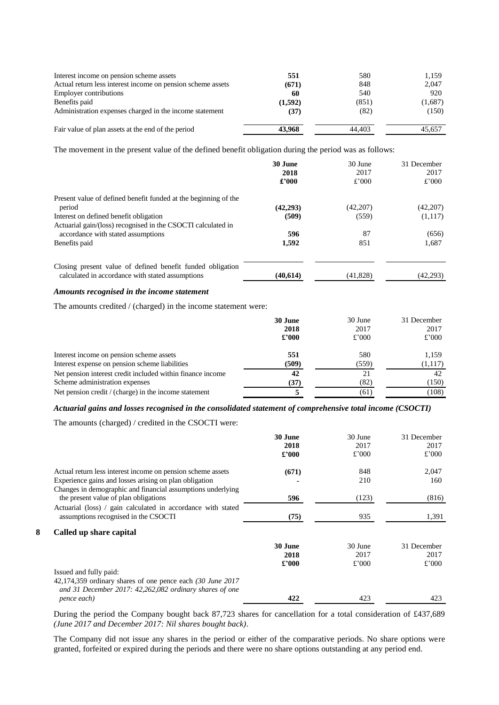|         |               | 1,159         |
|---------|---------------|---------------|
|         |               |               |
| (671)   | 848           | 2,047         |
| 60      | 540           | 920           |
| (1,592) | (851)         | (1,687)       |
| (37)    | (82)          | (150)         |
|         |               | 45.657        |
|         | 551<br>43,968 | 580<br>44.403 |

The movement in the present value of the defined benefit obligation during the period was as follows:

|                                                                 | 30 June<br>2018<br>£2000 | 30 June<br>2017<br>$£$ '000 | 31 December<br>2017<br>£'000 |
|-----------------------------------------------------------------|--------------------------|-----------------------------|------------------------------|
| Present value of defined benefit funded at the beginning of the |                          |                             |                              |
| period                                                          | (42,293)                 | (42,207)                    | (42,207)                     |
| Interest on defined benefit obligation                          | (509)                    | (559)                       | (1,117)                      |
| Actuarial gain/(loss) recognised in the CSOCTI calculated in    |                          |                             |                              |
| accordance with stated assumptions                              | 596                      | 87                          | (656)                        |
| Benefits paid                                                   | 1,592                    | 851                         | 1,687                        |
| Closing present value of defined benefit funded obligation      |                          |                             |                              |
| calculated in accordance with stated assumptions                | (40,614)                 | (41,828)                    | (42,293)                     |

# *Amounts recognised in the income statement*

The amounts credited / (charged) in the income statement were:

|                                                            | 30 June<br>2018<br>$\pounds$ '000 | 30 June<br>2017<br>£'000 | 31 December<br>2017<br>£'000 |
|------------------------------------------------------------|-----------------------------------|--------------------------|------------------------------|
| Interest income on pension scheme assets                   | 551                               | 580                      | 1.159                        |
| Interest expense on pension scheme liabilities             | (509)                             | (559)                    | (1,117)                      |
| Net pension interest credit included within finance income | 42                                | 21                       | 42                           |
| Scheme administration expenses                             | (37)                              | (82)                     | (150)                        |
| Net pension credit / (charge) in the income statement      |                                   | (61)                     | (108)                        |

# *Actuarial gains and losses recognised in the consolidated statement of comprehensive total income (CSOCTI)*

The amounts (charged) / credited in the CSOCTI were:

|   |                                                                                                                       | 30 June<br>2018<br>$\pounds 000$ | 30 June<br>2017<br>£'000 | 31 December<br>2017<br>£'000 |
|---|-----------------------------------------------------------------------------------------------------------------------|----------------------------------|--------------------------|------------------------------|
|   | Actual return less interest income on pension scheme assets                                                           | (671)                            | 848                      | 2,047                        |
|   | Experience gains and losses arising on plan obligation                                                                |                                  | 210                      | 160                          |
|   | Changes in demographic and financial assumptions underlying<br>the present value of plan obligations                  | 596                              | (123)                    | (816)                        |
|   | Actuarial (loss) / gain calculated in accordance with stated<br>assumptions recognised in the CSOCTI                  | (75)                             | 935                      | 1,391                        |
| 8 | Called up share capital                                                                                               |                                  |                          |                              |
|   |                                                                                                                       | 30 June<br>2018<br>$\pounds 000$ | 30 June<br>2017<br>£'000 | 31 December<br>2017<br>£'000 |
|   | Issued and fully paid:                                                                                                |                                  |                          |                              |
|   | 42,174,359 ordinary shares of one pence each (30 June 2017<br>and 31 December 2017: 42,262,082 ordinary shares of one |                                  |                          |                              |
|   | pence each)                                                                                                           | 422                              | 423                      | 423                          |

During the period the Company bought back 87,723 shares for cancellation for a total consideration of £437,689 *(June 2017 and December 2017: Nil shares bought back)*.

The Company did not issue any shares in the period or either of the comparative periods. No share options were granted, forfeited or expired during the periods and there were no share options outstanding at any period end.